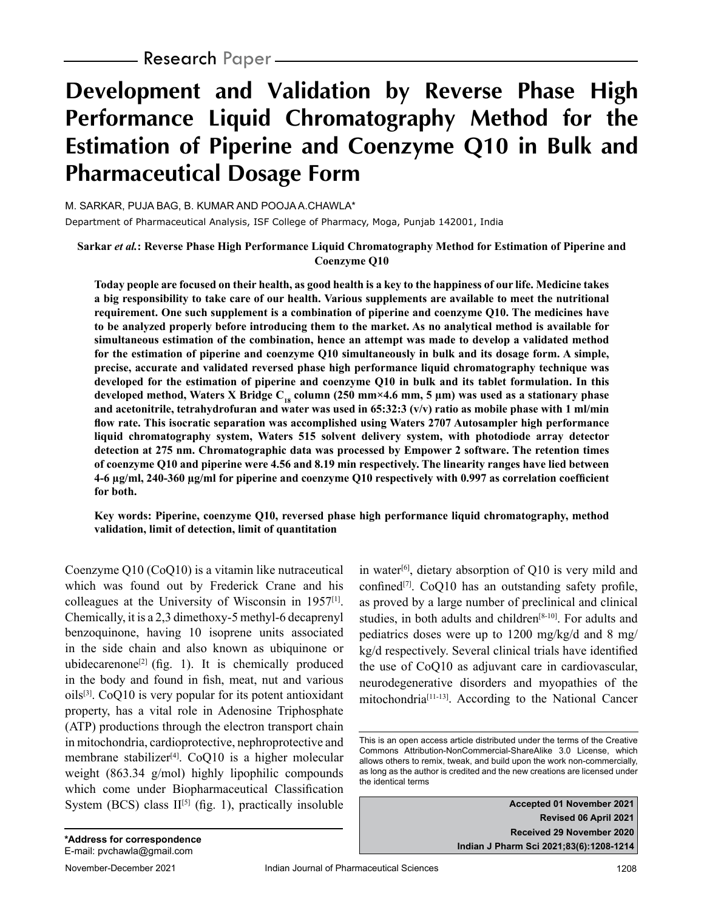– **Research** Paper-

# **Development and Validation by Reverse Phase High Performance Liquid Chromatography Method for the Estimation of Piperine and Coenzyme Q10 in Bulk and Pharmaceutical Dosage Form**

M. SARKAR, PUJA BAG, B. KUMAR AND POOJA A.CHAWLA\*

Department of Pharmaceutical Analysis, ISF College of Pharmacy, Moga, Punjab 142001, India

**Sarkar** *et al.***: Reverse Phase High Performance Liquid Chromatography Method for Estimation of Piperine and Coenzyme Q10**

**Today people are focused on their health, as good health is a key to the happiness of our life. Medicine takes a big responsibility to take care of our health. Various supplements are available to meet the nutritional requirement. One such supplement is a combination of piperine and coenzyme Q10. The medicines have to be analyzed properly before introducing them to the market. As no analytical method is available for simultaneous estimation of the combination, hence an attempt was made to develop a validated method for the estimation of piperine and coenzyme Q10 simultaneously in bulk and its dosage form. A simple, precise, accurate and validated reversed phase high performance liquid chromatography technique was developed for the estimation of piperine and coenzyme Q10 in bulk and its tablet formulation. In this**  developed method, Waters X Bridge C<sub>18</sub> column (250 mm×4.6 mm, 5 µm) was used as a stationary phase **and acetonitrile, tetrahydrofuran and water was used in 65:32:3 (v/v) ratio as mobile phase with 1 ml/min flow rate. This isocratic separation was accomplished using Waters 2707 Autosampler high performance liquid chromatography system, Waters 515 solvent delivery system, with photodiode array detector detection at 275 nm. Chromatographic data was processed by Empower 2 software. The retention times of coenzyme Q10 and piperine were 4.56 and 8.19 min respectively. The linearity ranges have lied between 4-6 µg/ml, 240-360 µg/ml for piperine and coenzyme Q10 respectively with 0.997 as correlation coefficient for both.**

**Key words: Piperine, coenzyme Q10, reversed phase high performance liquid chromatography, method validation, limit of detection, limit of quantitation**

Coenzyme Q10 (CoQ10) is a vitamin like nutraceutical which was found out by Frederick Crane and his colleagues at the University of Wisconsin in 1957[1]. Chemically, it is a 2,3 dimethoxy-5 methyl-6 decaprenyl benzoquinone, having 10 isoprene units associated in the side chain and also known as ubiquinone or ubidecarenone<sup>[2]</sup> (fig. 1). It is chemically produced in the body and found in fish, meat, nut and various  $oils^{[3]}$ . CoQ10 is very popular for its potent antioxidant property, has a vital role in Adenosine Triphosphate (ATP) productions through the electron transport chain in mitochondria, cardioprotective, nephroprotective and membrane stabilizer<sup>[4]</sup>. CoQ10 is a higher molecular weight (863.34 g/mol) highly lipophilic compounds which come under Biopharmaceutical Classification System (BCS) class  $II^{[5]}$  (fig. 1), practically insoluble

in water[6] , dietary absorption of Q10 is very mild and confined<sup>[7]</sup>. CoQ10 has an outstanding safety profile, as proved by a large number of preclinical and clinical studies, in both adults and children<sup>[8-10]</sup>. For adults and pediatrics doses were up to 1200 mg/kg/d and 8 mg/ kg/d respectively. Several clinical trials have identified the use of CoQ10 as adjuvant care in cardiovascular, neurodegenerative disorders and myopathies of the mitochondria[11-13]. According to the National Cancer

**Accepted 01 November 2021 Revised 06 April 2021 Received 29 November 2020 Indian J Pharm Sci 2021;83(6):1208-1214**

This is an open access article distributed under the terms of the Creative Commons Attribution-NonCommercial-ShareAlike 3.0 License, which allows others to remix, tweak, and build upon the work non-commercially, as long as the author is credited and the new creations are licensed under the identical terms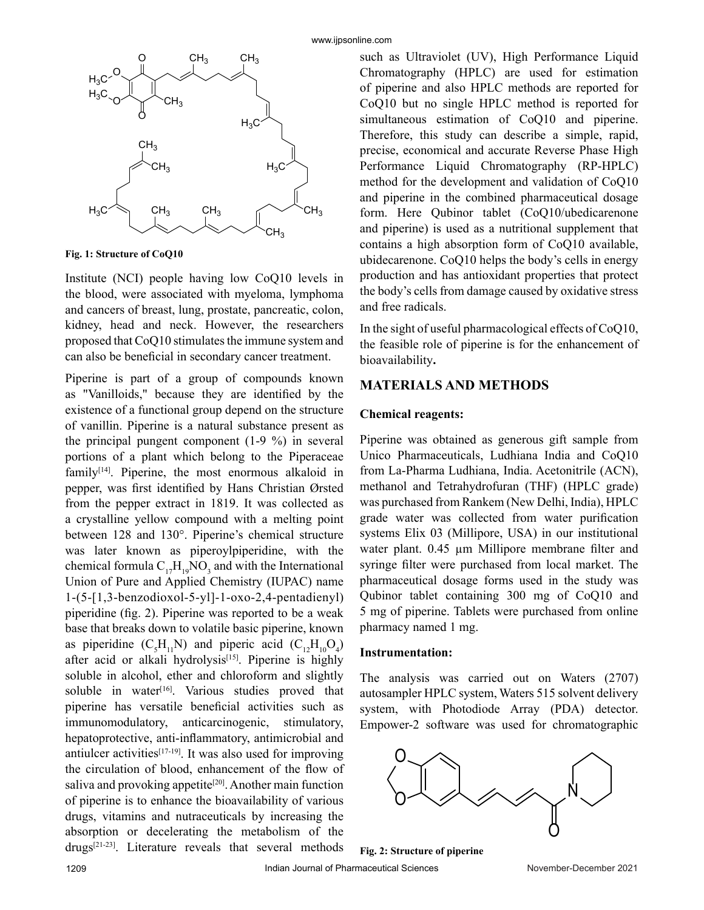

**Fig. 1: Structure of CoQ10**

Institute (NCI) people having low CoQ10 levels in the blood, were associated with myeloma, lymphoma and cancers of breast, lung, prostate, pancreatic, colon, kidney, head and neck. However, the researchers proposed that CoQ10 stimulates the immune system and can also be beneficial in secondary cancer treatment.

Piperine is part of a group of compounds known as "Vanilloids," because they are identified by the existence of a functional group depend on the structure of vanillin. Piperine is a natural substance present as the principal pungent component (1-9 %) in several portions of a plant which belong to the Piperaceae  $family<sup>[14]</sup>$ . Piperine, the most enormous alkaloid in pepper, was first identified by Hans Christian Ørsted from the pepper extract in 1819. It was collected as a crystalline yellow compound with a melting point between 128 and 130°. Piperine's chemical structure was later known as piperoylpiperidine, with the chemical formula  $C_{17}H_{19}NO_3$  and with the International Union of Pure and Applied Chemistry (IUPAC) name 1-(5-[1,3-benzodioxol-5-yl]-1-oxo-2,4-pentadienyl) piperidine (fig. 2). Piperine was reported to be a weak base that breaks down to volatile basic piperine, known as piperidine  $(C_5H_{11}N)$  and piperic acid  $(C_{12}H_{10}O_4)$ after acid or alkali hydrolysis<sup>[15]</sup>. Piperine is highly soluble in alcohol, ether and chloroform and slightly soluble in water<sup>[16]</sup>. Various studies proved that piperine has versatile beneficial activities such as immunomodulatory, anticarcinogenic, stimulatory, hepatoprotective, anti-inflammatory, antimicrobial and antiulcer activities $[17-19]$ . It was also used for improving the circulation of blood, enhancement of the flow of saliva and provoking appetite<sup>[20]</sup>. Another main function of piperine is to enhance the bioavailability of various drugs, vitamins and nutraceuticals by increasing the absorption or decelerating the metabolism of the drugs[21-23]. Literature reveals that several methods

such as Ultraviolet (UV), High Performance Liquid Chromatography (HPLC) are used for estimation of piperine and also HPLC methods are reported for CoQ10 but no single HPLC method is reported for simultaneous estimation of CoQ10 and piperine. Therefore, this study can describe a simple, rapid, precise, economical and accurate Reverse Phase High Performance Liquid Chromatography (RP-HPLC) method for the development and validation of CoQ10 and piperine in the combined pharmaceutical dosage form. Here Qubinor tablet (CoQ10/ubedicarenone and piperine) is used as a nutritional supplement that contains a high absorption form of CoQ10 available, ubidecarenone. CoQ10 helps the body's cells in energy production and has antioxidant properties that protect the body's cells from damage caused by oxidative stress and free radicals.

In the sight of useful pharmacological effects of CoQ10, the feasible role of piperine is for the enhancement of bioavailability**.**

## **MATERIALS AND METHODS**

#### **Chemical reagents:**

Piperine was obtained as generous gift sample from Unico Pharmaceuticals, Ludhiana India and CoQ10 from La-Pharma Ludhiana, India. Acetonitrile (ACN), methanol and Tetrahydrofuran (THF) (HPLC grade) was purchased from Rankem (New Delhi, India), HPLC grade water was collected from water purification systems Elix 03 (Millipore, USA) in our institutional water plant. 0.45  $\mu$ m Millipore membrane filter and syringe filter were purchased from local market. The pharmaceutical dosage forms used in the study was Qubinor tablet containing 300 mg of CoQ10 and 5 mg of piperine. Tablets were purchased from online pharmacy named 1 mg.

#### **Instrumentation:**

The analysis was carried out on Waters (2707) autosampler HPLC system, Waters 515 solvent delivery system, with Photodiode Array (PDA) detector. Empower-2 software was used for chromatographic



**Fig. 2: Structure of piperine**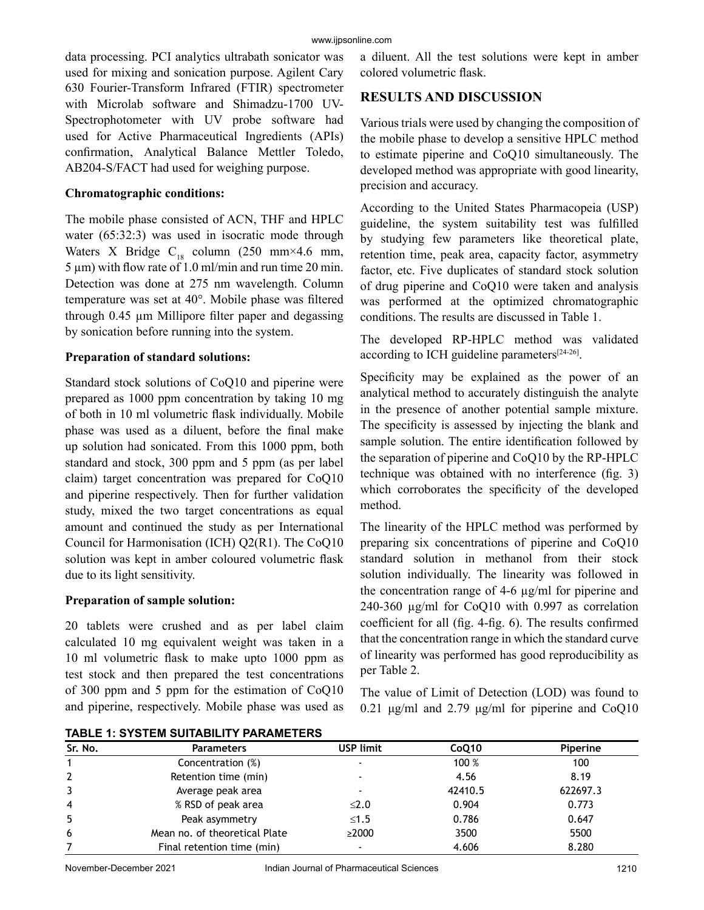data processing. PCI analytics ultrabath sonicator was used for mixing and sonication purpose. Agilent Cary 630 Fourier-Transform Infrared (FTIR) spectrometer with Microlab software and Shimadzu-1700 UV-Spectrophotometer with UV probe software had used for Active Pharmaceutical Ingredients (APIs) confirmation, Analytical Balance Mettler Toledo, AB204-S/FACT had used for weighing purpose.

### **Chromatographic conditions:**

The mobile phase consisted of ACN, THF and HPLC water (65:32:3) was used in isocratic mode through Waters X Bridge C<sub>18</sub> column (250 mm×4.6 mm,  $5 \mu m$ ) with flow rate of 1.0 ml/min and run time 20 min. Detection was done at 275 nm wavelength. Column temperature was set at 40°. Mobile phase was filtered through 0.45 µm Millipore filter paper and degassing by sonication before running into the system.

## **Preparation of standard solutions:**

Standard stock solutions of CoQ10 and piperine were prepared as 1000 ppm concentration by taking 10 mg of both in 10 ml volumetric flask individually. Mobile phase was used as a diluent, before the final make up solution had sonicated. From this 1000 ppm, both standard and stock, 300 ppm and 5 ppm (as per label claim) target concentration was prepared for CoQ10 and piperine respectively. Then for further validation study, mixed the two target concentrations as equal amount and continued the study as per International Council for Harmonisation (ICH) Q2(R1). The CoQ10 solution was kept in amber coloured volumetric flask due to its light sensitivity.

## **Preparation of sample solution:**

20 tablets were crushed and as per label claim calculated 10 mg equivalent weight was taken in a 10 ml volumetric flask to make upto 1000 ppm as test stock and then prepared the test concentrations of 300 ppm and 5 ppm for the estimation of CoQ10 and piperine, respectively. Mobile phase was used as a diluent. All the test solutions were kept in amber colored volumetric flask.

# **RESULTS AND DISCUSSION**

Various trials were used by changing the composition of the mobile phase to develop a sensitive HPLC method to estimate piperine and CoQ10 simultaneously. The developed method was appropriate with good linearity, precision and accuracy.

According to the United States Pharmacopeia (USP) guideline, the system suitability test was fulfilled by studying few parameters like theoretical plate, retention time, peak area, capacity factor, asymmetry factor, etc. Five duplicates of standard stock solution of drug piperine and CoQ10 were taken and analysis was performed at the optimized chromatographic conditions. The results are discussed in Table 1.

The developed RP-HPLC method was validated according to ICH guideline parameters[24-26].

Specificity may be explained as the power of an analytical method to accurately distinguish the analyte in the presence of another potential sample mixture. The specificity is assessed by injecting the blank and sample solution. The entire identification followed by the separation of piperine and CoQ10 by the RP-HPLC technique was obtained with no interference (fig. 3) which corroborates the specificity of the developed method.

The linearity of the HPLC method was performed by preparing six concentrations of piperine and CoQ10 standard solution in methanol from their stock solution individually. The linearity was followed in the concentration range of 4-6 µg/ml for piperine and 240-360 µg/ml for CoQ10 with 0.997 as correlation coefficient for all (fig. 4-fig. 6). The results confirmed that the concentration range in which the standard curve of linearity was performed has good reproducibility as per Table 2.

The value of Limit of Detection (LOD) was found to  $0.21 \mu$ g/ml and 2.79 μg/ml for piperine and CoQ10

| Sr. No.        | <b>Parameters</b>             | <b>USP limit</b>         | CoQ10   | Piperine |
|----------------|-------------------------------|--------------------------|---------|----------|
|                | Concentration (%)             | $\blacksquare$           | 100 %   | 100      |
| $\overline{2}$ | Retention time (min)          | $\overline{\phantom{0}}$ | 4.56    | 8.19     |
| 3              | Average peak area             |                          | 42410.5 | 622697.3 |
| $\overline{4}$ | % RSD of peak area            | $\leq 2.0$               | 0.904   | 0.773    |
| 5              | Peak asymmetry                | $≤1.5$                   | 0.786   | 0.647    |
| 6              | Mean no. of theoretical Plate | $\geq$ 2000              | 3500    | 5500     |
|                | Final retention time (min)    | $\overline{\phantom{0}}$ | 4.606   | 8.280    |

**TABLE 1: SYSTEM SUITABILITY PARAMETERS**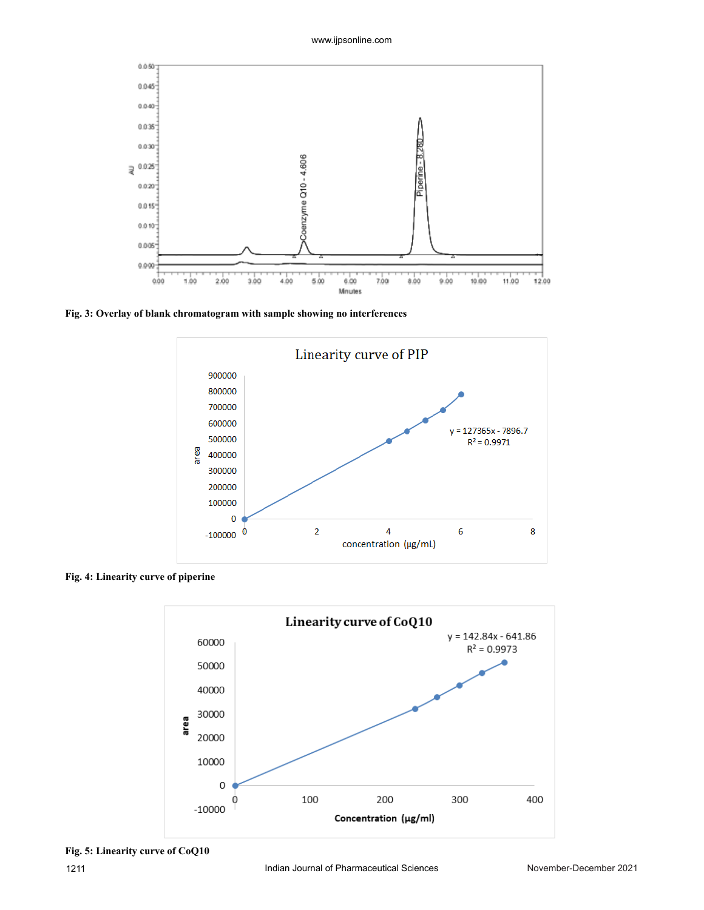

**Fig. 3: Overlay of blank chromatogram with sample showing no interferences**



**Fig. 4: Linearity curve of piperine**

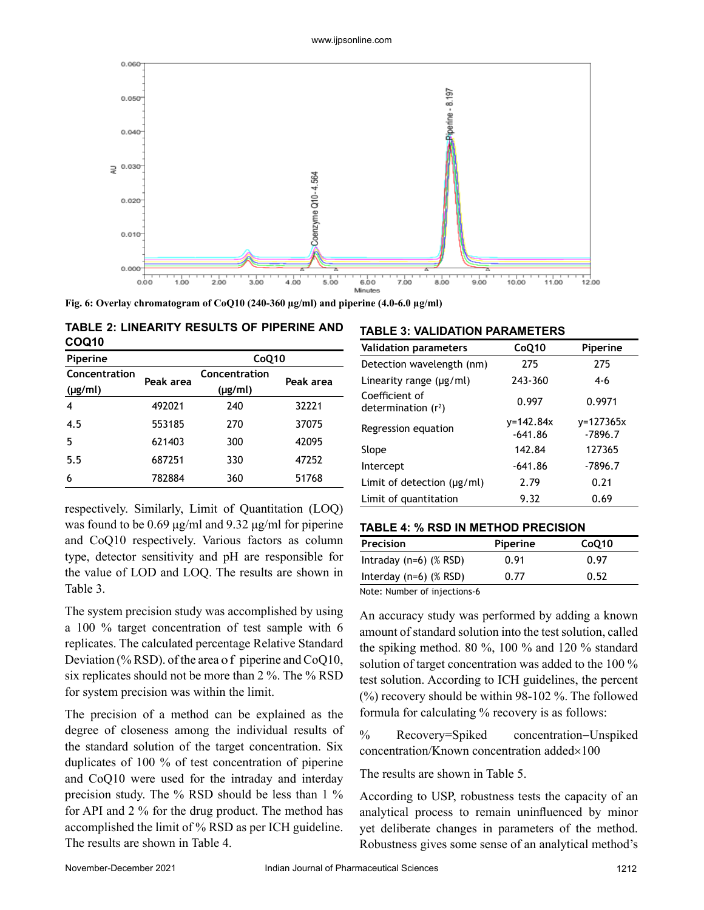

**Fig. 6: Overlay chromatogram of CoQ10 (240-360 µg/ml) and piperine (4.0-6.0 µg/ml)**

|       |  | TABLE 2: LINEARITY RESULTS OF PIPERINE AND |
|-------|--|--------------------------------------------|
| COQ10 |  |                                            |

| Piperine      |           | CoQ10         |           |  |
|---------------|-----------|---------------|-----------|--|
| Concentration | Peak area | Concentration | Peak area |  |
| $(\mu g/ml)$  |           | $(\mu g/ml)$  |           |  |
| 4             | 492021    | 240           | 32221     |  |
| 4.5           | 553185    | 270           | 37075     |  |
| 5             | 621403    | 300           | 42095     |  |
| 5.5           | 687251    | 330           | 47252     |  |
| 6             | 782884    | 360           | 51768     |  |

respectively. Similarly, Limit of Quantitation (LOQ) was found to be 0.69 μg/ml and 9.32 μg/ml for piperine and CoQ10 respectively. Various factors as column type, detector sensitivity and pH are responsible for the value of LOD and LOQ. The results are shown in Table 3.

The system precision study was accomplished by using a 100 % target concentration of test sample with 6 replicates. The calculated percentage Relative Standard Deviation (% RSD). of the area of piperine and CoQ10, six replicates should not be more than 2 %. The % RSD for system precision was within the limit.

The precision of a method can be explained as the degree of closeness among the individual results of the standard solution of the target concentration. Six duplicates of 100 % of test concentration of piperine and CoQ10 were used for the intraday and interday precision study. The % RSD should be less than 1 % for API and 2 % for the drug product. The method has accomplished the limit of % RSD as per ICH guideline. The results are shown in Table 4.

#### **TABLE 3: VALIDATION PARAMETERS**

| COQ10                         |           |                                                                                                                                                                                                                                                                                                                                              |                           | <b>Validation parameters</b>              | CoQ10                      | Piperine                   |
|-------------------------------|-----------|----------------------------------------------------------------------------------------------------------------------------------------------------------------------------------------------------------------------------------------------------------------------------------------------------------------------------------------------|---------------------------|-------------------------------------------|----------------------------|----------------------------|
| Piperine<br>CoQ10             |           |                                                                                                                                                                                                                                                                                                                                              | Detection wavelength (nm) | 275                                       | 275                        |                            |
| Concentration<br>$(\mu g/ml)$ | Peak area | Concentration<br>$(\mu g/ml)$                                                                                                                                                                                                                                                                                                                | Peak area                 | Linearity range (µg/ml)<br>Coefficient of | 243-360                    | $4 - 6$                    |
| 4                             | 492021    | 240                                                                                                                                                                                                                                                                                                                                          | 32221                     | determination $(r^2)$                     | 0.997                      | 0.9971                     |
| 4.5                           | 553185    | 270                                                                                                                                                                                                                                                                                                                                          | 37075                     | Regression equation                       | $v = 142.84x$<br>$-641.86$ | $v = 127365x$<br>$-7896.7$ |
| 5                             | 621403    | 300                                                                                                                                                                                                                                                                                                                                          | 42095                     | Slope                                     | 142.84                     | 127365                     |
| 5.5                           | 687251    | 330                                                                                                                                                                                                                                                                                                                                          | 47252                     | Intercept                                 | $-641.86$                  | $-7896.7$                  |
| 6                             | 782884    | 360                                                                                                                                                                                                                                                                                                                                          | 51768                     | Limit of detection $(\mu g/ml)$           | 2.79                       | 0.21                       |
|                               |           | $\ldots$ $\ldots$ $\ldots$ $\ldots$ $\ldots$ $\ldots$ $\ldots$ $\ldots$ $\ldots$ $\ldots$ $\ldots$ $\ldots$ $\ldots$ $\ldots$ $\ldots$ $\ldots$ $\ldots$ $\ldots$ $\ldots$ $\ldots$ $\ldots$ $\ldots$ $\ldots$ $\ldots$ $\ldots$ $\ldots$ $\ldots$ $\ldots$ $\ldots$ $\ldots$ $\ldots$ $\ldots$ $\ldots$ $\ldots$ $\ldots$ $\ldots$ $\ldots$ |                           | Limit of quantitation                     | 9.32                       | 0.69                       |

#### **TABLE 4: % RSD IN METHOD PRECISION**

| Precision                 | Piperine | CoQ10 |
|---------------------------|----------|-------|
| Intraday (n=6) $(\%$ RSD) | 0.91     | 0.97  |
| Interday (n=6) $(\%$ RSD) | 0.77     | 0.52  |

Note: Number of injections-6

An accuracy study was performed by adding a known amount of standard solution into the test solution, called the spiking method. 80 %, 100 % and 120 % standard solution of target concentration was added to the 100 % test solution. According to ICH guidelines, the percent (%) recovery should be within 98-102 %. The followed formula for calculating % recovery is as follows:

% Recovery=Spiked concentration−Unspiked concentration/Known concentration added×100

The results are shown in Table 5.

According to USP, robustness tests the capacity of an analytical process to remain uninfluenced by minor yet deliberate changes in parameters of the method. Robustness gives some sense of an analytical method's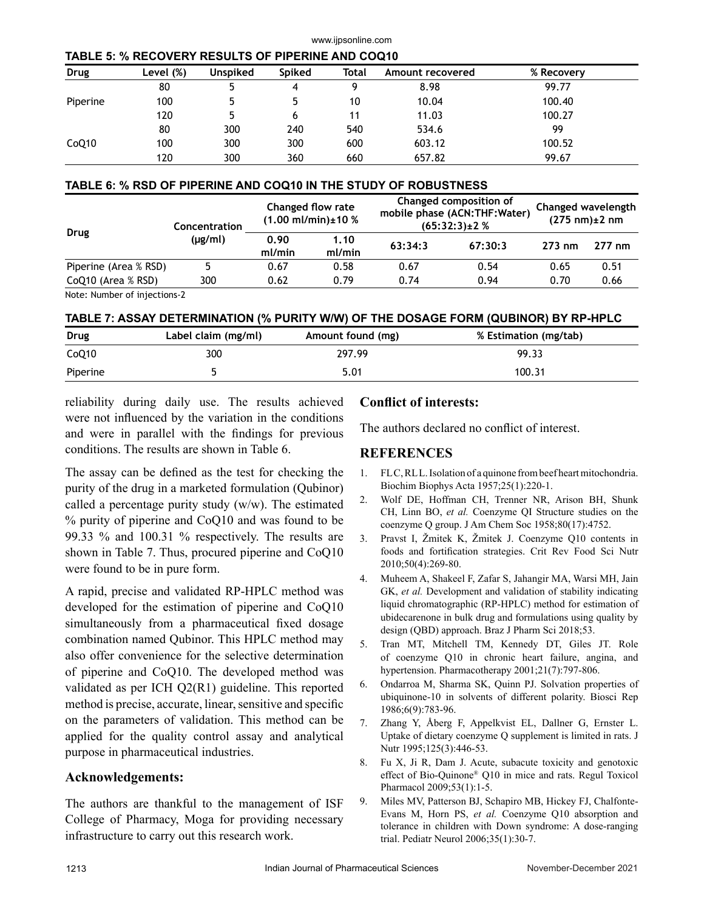| TABLE 5: % RECOVERY RESULTS OF PIPERINE AND COQ10 |  |  |
|---------------------------------------------------|--|--|
|                                                   |  |  |

| Drug     | Level (%) | <b>Unspiked</b> | Spiked | Total | Amount recovered | % Recovery |
|----------|-----------|-----------------|--------|-------|------------------|------------|
|          | 80        |                 | 4      |       | 8.98             | 99.77      |
| Piperine | 100       |                 | 5      | 10    | 10.04            | 100.40     |
|          | 120       |                 | 6      | 11    | 11.03            | 100.27     |
|          | 80        | 300             | 240    | 540   | 534.6            | 99         |
| CoQ10    | 100       | 300             | 300    | 600   | 603.12           | 100.52     |
|          | 120       | 300             | 360    | 660   | 657.82           | 99.67      |

www.ijpsonline.com

## **TABLE 6: % RSD OF PIPERINE AND COQ10 IN THE STUDY OF ROBUSTNESS**

|                       | Concentration | Changed flow rate<br>$(1.00 \text{ mJ/min}) \pm 10 \%$ |                | Changed composition of<br>mobile phase (ACN:THF:Water)<br>$(65:32:3) \pm 2\%$ |         | Changed wavelength<br>$(275 \text{ nm})\pm 2 \text{ nm}$ |                  |
|-----------------------|---------------|--------------------------------------------------------|----------------|-------------------------------------------------------------------------------|---------|----------------------------------------------------------|------------------|
| Drug                  | (µg/ml)       | 0.90<br>ml/min                                         | 1.10<br>ml/min | 63:34:3                                                                       | 67:30:3 | $273 \text{ nm}$                                         | $277 \text{ nm}$ |
| Piperine (Area % RSD) |               | 0.67                                                   | 0.58           | 0.67                                                                          | 0.54    | 0.65                                                     | 0.51             |
| CoQ10 (Area % RSD)    | 300           | 0.62                                                   | 0.79           | 0.74                                                                          | 0.94    | 0.70                                                     | 0.66             |

Note: Number of injections-2

## **TABLE 7: ASSAY DETERMINATION (% PURITY W/W) OF THE DOSAGE FORM (QUBINOR) BY RP-HPLC**

| Drug     | Label claim (mg/ml) | Amount found (mg) | % Estimation (mg/tab) |
|----------|---------------------|-------------------|-----------------------|
| CoQ10    | 300                 | 297.99            | 99.33                 |
| Piperine |                     | 5.01              | 100.31                |

reliability during daily use. The results achieved were not influenced by the variation in the conditions and were in parallel with the findings for previous conditions. The results are shown in Table 6.

The assay can be defined as the test for checking the purity of the drug in a marketed formulation (Qubinor) called a percentage purity study (w/w). The estimated % purity of piperine and CoQ10 and was found to be 99.33 % and 100.31 % respectively. The results are shown in Table 7. Thus, procured piperine and CoQ10 were found to be in pure form.

A rapid, precise and validated RP-HPLC method was developed for the estimation of piperine and CoQ10 simultaneously from a pharmaceutical fixed dosage combination named Qubinor. This HPLC method may also offer convenience for the selective determination of piperine and CoQ10. The developed method was validated as per ICH Q2(R1) guideline. This reported method is precise, accurate, linear, sensitive and specific on the parameters of validation. This method can be applied for the quality control assay and analytical purpose in pharmaceutical industries.

## **Acknowledgements:**

The authors are thankful to the management of ISF College of Pharmacy, Moga for providing necessary infrastructure to carry out this research work.

## **Conflict of interests:**

The authors declared no conflict of interest.

## **REFERENCES**

- 1. FLC, RLL. Isolation of a quinone from beef heart mitochondria. Biochim Biophys Acta 1957;25(1):220-1.
- 2. Wolf DE, Hoffman CH, Trenner NR, Arison BH, Shunk CH, Linn BO, *et al.* Coenzyme QI Structure studies on the coenzyme Q group. J Am Chem Soc 1958;80(17):4752.
- 3. Pravst I, Žmitek K, Žmitek J. Coenzyme Q10 contents in foods and fortification strategies. Crit Rev Food Sci Nutr 2010;50(4):269-80.
- 4. Muheem A, Shakeel F, Zafar S, Jahangir MA, Warsi MH, Jain GK, *et al.* Development and validation of stability indicating liquid chromatographic (RP-HPLC) method for estimation of ubidecarenone in bulk drug and formulations using quality by design (QBD) approach. Braz J Pharm Sci 2018;53.
- 5. Tran MT, Mitchell TM, Kennedy DT, Giles JT. Role of coenzyme Q10 in chronic heart failure, angina, and hypertension. Pharmacotherapy 2001;21(7):797-806.
- 6. Ondarroa M, Sharma SK, Quinn PJ. Solvation properties of ubiquinone-10 in solvents of different polarity. Biosci Rep 1986;6(9):783-96.
- 7. Zhang Y, Åberg F, Appelkvist EL, Dallner G, Ernster L. Uptake of dietary coenzyme Q supplement is limited in rats. J Nutr 1995;125(3):446-53.
- 8. Fu X, Ji R, Dam J. Acute, subacute toxicity and genotoxic effect of Bio-Quinone® Q10 in mice and rats. Regul Toxicol Pharmacol 2009;53(1):1-5.
- 9. Miles MV, Patterson BJ, Schapiro MB, Hickey FJ, Chalfonte-Evans M, Horn PS, *et al.* Coenzyme Q10 absorption and tolerance in children with Down syndrome: A dose-ranging trial. Pediatr Neurol 2006;35(1):30-7.